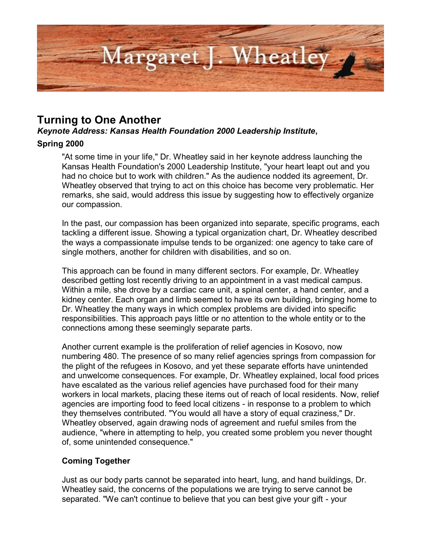

# **Turning to One Another**

*Keynote Address: Kansas Health Foundation 2000 Leadership Institute***,** 

# **Spring 2000**

"At some time in your life," Dr. Wheatley said in her keynote address launching the Kansas Health Foundation's 2000 Leadership Institute, "your heart leapt out and you had no choice but to work with children." As the audience nodded its agreement, Dr. Wheatley observed that trying to act on this choice has become very problematic. Her remarks, she said, would address this issue by suggesting how to effectively organize our compassion.

In the past, our compassion has been organized into separate, specific programs, each tackling a different issue. Showing a typical organization chart, Dr. Wheatley described the ways a compassionate impulse tends to be organized: one agency to take care of single mothers, another for children with disabilities, and so on.

This approach can be found in many different sectors. For example, Dr. Wheatley described getting lost recently driving to an appointment in a vast medical campus. Within a mile, she drove by a cardiac care unit, a spinal center, a hand center, and a kidney center. Each organ and limb seemed to have its own building, bringing home to Dr. Wheatley the many ways in which complex problems are divided into specific responsibilities. This approach pays little or no attention to the whole entity or to the connections among these seemingly separate parts.

Another current example is the proliferation of relief agencies in Kosovo, now numbering 480. The presence of so many relief agencies springs from compassion for the plight of the refugees in Kosovo, and yet these separate efforts have unintended and unwelcome consequences. For example, Dr. Wheatley explained, local food prices have escalated as the various relief agencies have purchased food for their many workers in local markets, placing these items out of reach of local residents. Now, relief agencies are importing food to feed local citizens - in response to a problem to which they themselves contributed. "You would all have a story of equal craziness," Dr. Wheatley observed, again drawing nods of agreement and rueful smiles from the audience, "where in attempting to help, you created some problem you never thought of, some unintended consequence."

# **Coming Together**

Just as our body parts cannot be separated into heart, lung, and hand buildings, Dr. Wheatley said, the concerns of the populations we are trying to serve cannot be separated. "We can't continue to believe that you can best give your gift - your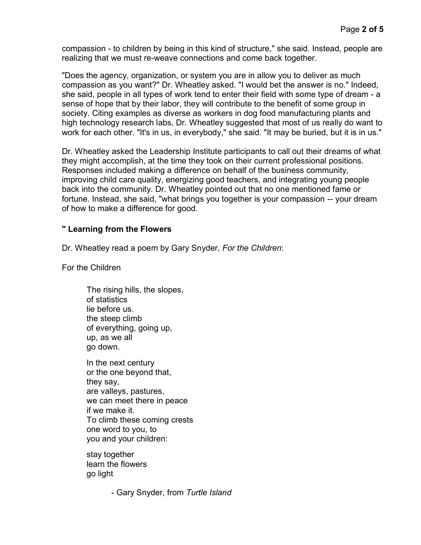compassion - to children by being in this kind of structure," she said. Instead, people are realizing that we must re-weave connections and come back together.

"Does the agency, organization, or system you are in allow you to deliver as much compassion as you want?" Dr. Wheatley asked. "I would bet the answer is no." Indeed, she said, people in all types of work tend to enter their field with some type of dream - a sense of hope that by their labor, they will contribute to the benefit of some group in society. Citing examples as diverse as workers in dog food manufacturing plants and high technology research labs, Dr. Wheatley suggested that most of us really do want to work for each other. "It's in us, in everybody," she said. "It may be buried, but it is in us."

Dr. Wheatley asked the Leadership Institute participants to call out their dreams of what they might accomplish, at the time they took on their current professional positions. Responses included making a difference on behalf of the business community, improving child care quality, energizing good teachers, and integrating young people back into the community. Dr. Wheatley pointed out that no one mentioned fame or fortune. Instead, she said, "what brings you together is your compassion -- your dream of how to make a difference for good.

#### **" Learning from the Flowers**

Dr. Wheatley read a poem by Gary Snyder, *For the Children*:

For the Children

The rising hills, the slopes, of statistics lie before us. the steep climb of everything, going up, up, as we all go down. In the next century

or the one beyond that, they say, are valleys, pastures, we can meet there in peace if we make it. To climb these coming crests one word to you, to you and your children:

stay together learn the flowers go light

- Gary Snyder, from *Turtle Island*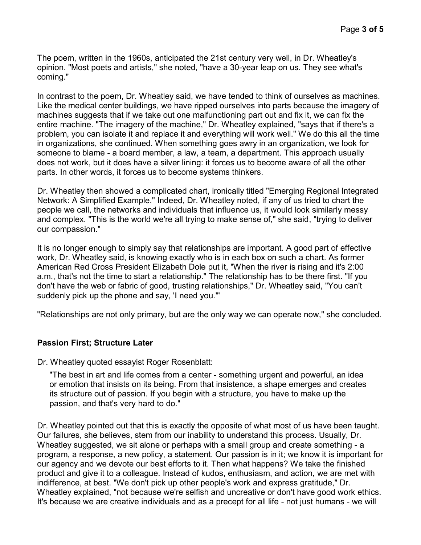The poem, written in the 1960s, anticipated the 21st century very well, in Dr. Wheatley's opinion. "Most poets and artists," she noted, "have a 30-year leap on us. They see what's coming."

In contrast to the poem, Dr. Wheatley said, we have tended to think of ourselves as machines. Like the medical center buildings, we have ripped ourselves into parts because the imagery of machines suggests that if we take out one malfunctioning part out and fix it, we can fix the entire machine. "The imagery of the machine," Dr. Wheatley explained, "says that if there's a problem, you can isolate it and replace it and everything will work well." We do this all the time in organizations, she continued. When something goes awry in an organization, we look for someone to blame - a board member, a law, a team, a department. This approach usually does not work, but it does have a silver lining: it forces us to become aware of all the other parts. In other words, it forces us to become systems thinkers.

Dr. Wheatley then showed a complicated chart, ironically titled "Emerging Regional Integrated Network: A Simplified Example." Indeed, Dr. Wheatley noted, if any of us tried to chart the people we call, the networks and individuals that influence us, it would look similarly messy and complex. "This is the world we're all trying to make sense of," she said, "trying to deliver our compassion."

It is no longer enough to simply say that relationships are important. A good part of effective work, Dr. Wheatley said, is knowing exactly who is in each box on such a chart. As former American Red Cross President Elizabeth Dole put it, "When the river is rising and it's 2:00 a.m., that's not the time to start a relationship." The relationship has to be there first. "If you don't have the web or fabric of good, trusting relationships," Dr. Wheatley said, "You can't suddenly pick up the phone and say, 'I need you.'"

"Relationships are not only primary, but are the only way we can operate now," she concluded.

# **Passion First; Structure Later**

Dr. Wheatley quoted essayist Roger Rosenblatt:

"The best in art and life comes from a center - something urgent and powerful, an idea or emotion that insists on its being. From that insistence, a shape emerges and creates its structure out of passion. If you begin with a structure, you have to make up the passion, and that's very hard to do."

Dr. Wheatley pointed out that this is exactly the opposite of what most of us have been taught. Our failures, she believes, stem from our inability to understand this process. Usually, Dr. Wheatley suggested, we sit alone or perhaps with a small group and create something - a program, a response, a new policy, a statement. Our passion is in it; we know it is important for our agency and we devote our best efforts to it. Then what happens? We take the finished product and give it to a colleague. Instead of kudos, enthusiasm, and action, we are met with indifference, at best. "We don't pick up other people's work and express gratitude," Dr. Wheatley explained, "not because we're selfish and uncreative or don't have good work ethics. It's because we are creative individuals and as a precept for all life - not just humans - we will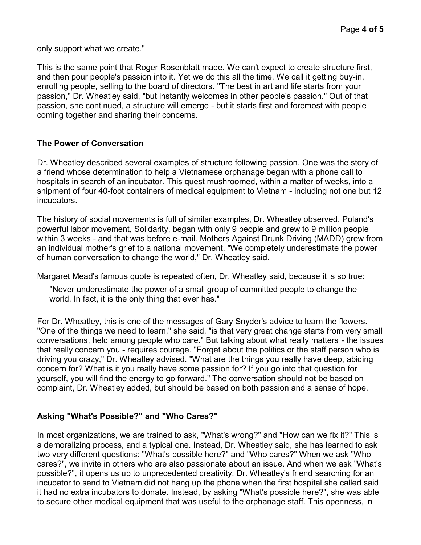only support what we create."

This is the same point that Roger Rosenblatt made. We can't expect to create structure first, and then pour people's passion into it. Yet we do this all the time. We call it getting buy-in, enrolling people, selling to the board of directors. "The best in art and life starts from your passion," Dr. Wheatley said, "but instantly welcomes in other people's passion." Out of that passion, she continued, a structure will emerge - but it starts first and foremost with people coming together and sharing their concerns.

#### **The Power of Conversation**

Dr. Wheatley described several examples of structure following passion. One was the story of a friend whose determination to help a Vietnamese orphanage began with a phone call to hospitals in search of an incubator. This quest mushroomed, within a matter of weeks, into a shipment of four 40-foot containers of medical equipment to Vietnam - including not one but 12 incubators.

The history of social movements is full of similar examples, Dr. Wheatley observed. Poland's powerful labor movement, Solidarity, began with only 9 people and grew to 9 million people within 3 weeks - and that was before e-mail. Mothers Against Drunk Driving (MADD) grew from an individual mother's grief to a national movement. "We completely underestimate the power of human conversation to change the world," Dr. Wheatley said.

Margaret Mead's famous quote is repeated often, Dr. Wheatley said, because it is so true:

"Never underestimate the power of a small group of committed people to change the world. In fact, it is the only thing that ever has."

For Dr. Wheatley, this is one of the messages of Gary Snyder's advice to learn the flowers. "One of the things we need to learn," she said, "is that very great change starts from very small conversations, held among people who care." But talking about what really matters - the issues that really concern you - requires courage. "Forget about the politics or the staff person who is driving you crazy," Dr. Wheatley advised. "What are the things you really have deep, abiding concern for? What is it you really have some passion for? If you go into that question for yourself, you will find the energy to go forward." The conversation should not be based on complaint, Dr. Wheatley added, but should be based on both passion and a sense of hope.

# **Asking "What's Possible?" and "Who Cares?"**

In most organizations, we are trained to ask, "What's wrong?" and "How can we fix it?" This is a demoralizing process, and a typical one. Instead, Dr. Wheatley said, she has learned to ask two very different questions: "What's possible here?" and "Who cares?" When we ask "Who cares?", we invite in others who are also passionate about an issue. And when we ask "What's possible?", it opens us up to unprecedented creativity. Dr. Wheatley's friend searching for an incubator to send to Vietnam did not hang up the phone when the first hospital she called said it had no extra incubators to donate. Instead, by asking "What's possible here?", she was able to secure other medical equipment that was useful to the orphanage staff. This openness, in